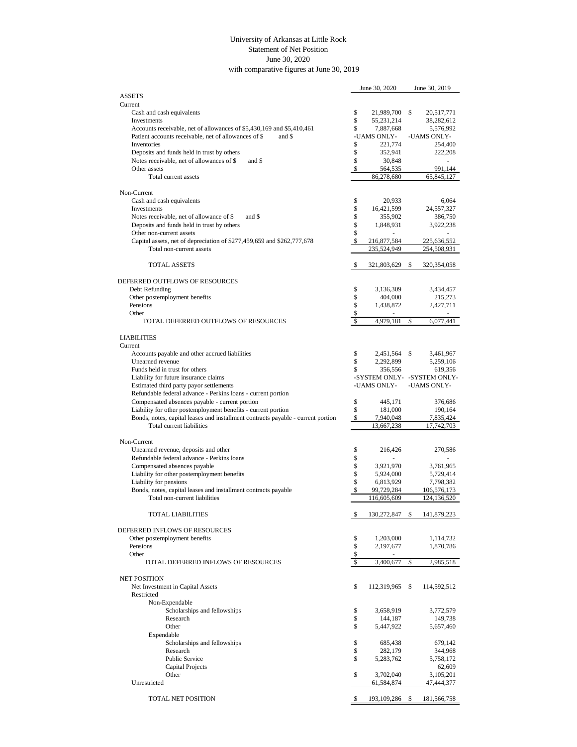## University of Arkansas at Little Rock Statement of Net Position June 30, 2020 with comparative figures at June 30, 2019

|                                                                                  |          | June 30, 2020        |      | June 30, 2019               |
|----------------------------------------------------------------------------------|----------|----------------------|------|-----------------------------|
| <b>ASSETS</b>                                                                    |          |                      |      |                             |
| Current                                                                          |          |                      |      |                             |
| Cash and cash equivalents                                                        | \$       | 21,989,700           | \$   | 20,517,771                  |
| Investments                                                                      | \$       | 55,231,214           |      | 38,282,612                  |
| Accounts receivable, net of allowances of \$5,430,169 and \$5,410,461            | \$       | 7,887,668            |      | 5,576,992                   |
| Patient accounts receivable, net of allowances of \$<br>and \$                   |          | -UAMS ONLY-          |      | -UAMS ONLY-                 |
| Inventories                                                                      | \$       | 221,774              |      | 254,400                     |
| Deposits and funds held in trust by others                                       | \$       | 352,941              |      | 222,208                     |
| Notes receivable, net of allowances of \$<br>and \$                              | \$       | 30,848               |      |                             |
| Other assets                                                                     | \$       | 564,535              |      | 991,144                     |
| Total current assets                                                             |          | 86,278,680           |      | 65,845,127                  |
|                                                                                  |          |                      |      |                             |
| Non-Current                                                                      |          |                      |      |                             |
| Cash and cash equivalents                                                        | \$       | 20,933               |      | 6,064                       |
| <b>Investments</b>                                                               | \$       | 16,421,599           |      | 24,557,327                  |
| and \$<br>Notes receivable, net of allowance of \$                               | \$       | 355,902              |      | 386,750                     |
| Deposits and funds held in trust by others                                       | \$       | 1,848,931            |      | 3,922,238                   |
| Other non-current assets                                                         | \$       |                      |      |                             |
| Capital assets, net of depreciation of \$277,459,659 and \$262,777,678           | \$       | 216,877,584          |      | 225,636,552                 |
| Total non-current assets                                                         |          | 235,524,949          |      | 254,508,931                 |
|                                                                                  |          |                      |      |                             |
| <b>TOTAL ASSETS</b>                                                              | \$       | 321,803,629          | \$   | 320,354,058                 |
| DEFERRED OUTFLOWS OF RESOURCES                                                   |          |                      |      |                             |
|                                                                                  | \$       |                      |      |                             |
| Debt Refunding                                                                   | \$       | 3,136,309            |      | 3,434,457                   |
| Other postemployment benefits<br>Pensions                                        | \$       | 404,000<br>1,438,872 |      | 215,273                     |
| Other                                                                            | \$       |                      |      | 2,427,711                   |
| TOTAL DEFERRED OUTFLOWS OF RESOURCES                                             | \$       | 4,979,181            | \$   | 6,077,441                   |
|                                                                                  |          |                      |      |                             |
| <b>LIABILITIES</b>                                                               |          |                      |      |                             |
| Current                                                                          |          |                      |      |                             |
| Accounts payable and other accrued liabilities                                   | \$       | 2,451,564            | \$   | 3,461,967                   |
| Unearned revenue                                                                 | \$       | 2,292,899            |      | 5,259,106                   |
| Funds held in trust for others                                                   | \$       | 356,556              |      | 619,356                     |
| Liability for future insurance claims                                            |          |                      |      | -SYSTEM ONLY- -SYSTEM ONLY- |
| Estimated third party payor settlements                                          |          | -UAMS ONLY-          |      | -UAMS ONLY-                 |
| Refundable federal advance - Perkins loans - current portion                     |          |                      |      |                             |
| Compensated absences payable - current portion                                   | \$       | 445,171              |      | 376,686                     |
| Liability for other postemployment benefits - current portion                    | \$       | 181,000              |      | 190,164                     |
| Bonds, notes, capital leases and installment contracts payable - current portion | \$       | 7,940,048            |      | 7,835,424                   |
| Total current liabilities                                                        |          | 13,667,238           |      | 17,742,703                  |
|                                                                                  |          |                      |      |                             |
| Non-Current                                                                      |          |                      |      |                             |
| Unearned revenue, deposits and other                                             | \$       | 216,426              |      | 270,586                     |
| Refundable federal advance - Perkins loans                                       | \$       |                      |      |                             |
| Compensated absences payable                                                     | \$       | 3,921,970            |      | 3,761,965                   |
| Liability for other postemployment benefits                                      | \$       | 5,924,000            |      | 5,729,414                   |
| Liability for pensions                                                           | \$       | 6,813,929            |      | 7,798,382                   |
| Bonds, notes, capital leases and installment contracts payable                   |          | 99,729,284           |      | 106,576,173                 |
| Total non-current liabilities                                                    |          | 116,605,609          |      | 124, 136, 520               |
|                                                                                  |          |                      |      |                             |
| <b>TOTAL LIABILITIES</b>                                                         | \$       | 130,272,847          | \$   | 141,879,223                 |
|                                                                                  |          |                      |      |                             |
| DEFERRED INFLOWS OF RESOURCES                                                    |          |                      |      |                             |
| Other postemployment benefits                                                    | \$       | 1,203,000            |      | 1,114,732                   |
| Pensions                                                                         | \$       | 2,197,677            |      | 1,870,786                   |
| Other                                                                            | \$       |                      |      |                             |
| TOTAL DEFERRED INFLOWS OF RESOURCES                                              | \$       | 3,400,677            | \$   | 2,985,518                   |
|                                                                                  |          |                      |      |                             |
| <b>NET POSITION</b>                                                              |          |                      |      |                             |
| Net Investment in Capital Assets                                                 | \$       | 112,319,965          | - \$ | 114,592,512                 |
| Restricted                                                                       |          |                      |      |                             |
| Non-Expendable                                                                   |          |                      |      |                             |
| Scholarships and fellowships                                                     | \$       | 3,658,919            |      | 3,772,579                   |
| Research                                                                         | \$       | 144,187              |      | 149,738                     |
| Other<br>Expendable                                                              | \$       | 5,447,922            |      | 5,657,460                   |
|                                                                                  |          |                      |      |                             |
| Scholarships and fellowships<br>Research                                         | \$<br>\$ | 685,438<br>282,179   |      | 679,142<br>344,968          |
| <b>Public Service</b>                                                            | \$       | 5,283,762            |      | 5,758,172                   |
| <b>Capital Projects</b>                                                          |          |                      |      | 62,609                      |
| Other                                                                            | \$       | 3,702,040            |      | 3,105,201                   |
| Unrestricted                                                                     |          | 61,584,874           |      | 47,444,377                  |
|                                                                                  |          |                      |      |                             |
| TOTAL NET POSITION                                                               | \$       | 193, 109, 286 \$     |      | 181,566,758                 |
|                                                                                  |          |                      |      |                             |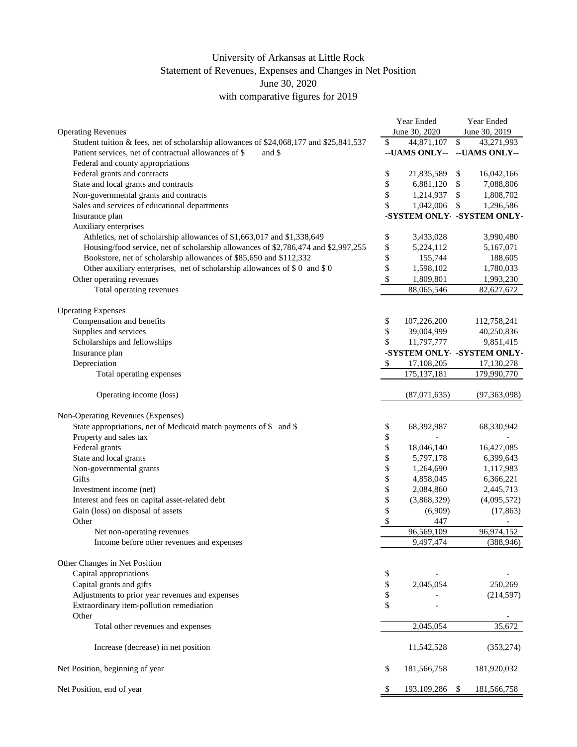## University of Arkansas at Little Rock Statement of Revenues, Expenses and Changes in Net Position June 30, 2020 with comparative figures for 2019

|                                                                                        | Year Ended |                            |                  | Year Ended    |  |
|----------------------------------------------------------------------------------------|------------|----------------------------|------------------|---------------|--|
| <b>Operating Revenues</b>                                                              |            | June 30, 2020              | June 30, 2019    |               |  |
| Student tuition & fees, net of scholarship allowances of \$24,068,177 and \$25,841,537 | \$         | 44,871,107                 | \$<br>43,271,993 |               |  |
| Patient services, net of contractual allowances of \$<br>and \$                        |            | --UAMS ONLY--              |                  | --UAMS ONLY-- |  |
| Federal and county appropriations                                                      |            |                            |                  |               |  |
| Federal grants and contracts                                                           | \$         | 21,835,589                 | \$               | 16,042,166    |  |
| State and local grants and contracts                                                   | \$         | 6,881,120                  | \$               | 7,088,806     |  |
| Non-governmental grants and contracts                                                  | \$         | 1,214,937                  | \$               | 1,808,702     |  |
| Sales and services of educational departments                                          | \$         | 1,042,006                  | \$               | 1,296,586     |  |
| Insurance plan                                                                         |            | -SYSTEM ONLY -SYSTEM ONLY- |                  |               |  |
| Auxiliary enterprises                                                                  |            |                            |                  |               |  |
| Athletics, net of scholarship allowances of \$1,663,017 and \$1,338,649                | \$         | 3,433,028                  |                  | 3,990,480     |  |
| Housing/food service, net of scholarship allowances of \$2,786,474 and \$2,997,255     | \$         | 5,224,112                  |                  | 5,167,071     |  |
| Bookstore, net of scholarship allowances of \$85,650 and \$112,332                     | \$         | 155,744                    |                  | 188,605       |  |
| Other auxiliary enterprises, net of scholarship allowances of \$0 and \$0              | \$         | 1,598,102                  |                  | 1,780,033     |  |
| Other operating revenues                                                               | \$         | 1,809,801                  |                  | 1,993,230     |  |
| Total operating revenues                                                               |            | 88,065,546                 |                  | 82,627,672    |  |
|                                                                                        |            |                            |                  |               |  |
| <b>Operating Expenses</b>                                                              |            |                            |                  |               |  |
| Compensation and benefits                                                              | \$         | 107,226,200                |                  | 112,758,241   |  |
| Supplies and services                                                                  | \$         | 39,004,999                 |                  | 40,250,836    |  |
| Scholarships and fellowships                                                           | \$         | 11,797,777                 |                  | 9,851,415     |  |
| Insurance plan                                                                         |            | -SYSTEM ONLY -SYSTEM ONLY- |                  |               |  |
| Depreciation                                                                           | \$         | 17,108,205                 |                  | 17,130,278    |  |
| Total operating expenses                                                               |            | 175, 137, 181              |                  | 179,990,770   |  |
|                                                                                        |            |                            |                  |               |  |
| Operating income (loss)                                                                |            | (87,071,635)               |                  | (97,363,098)  |  |
|                                                                                        |            |                            |                  |               |  |
| Non-Operating Revenues (Expenses)                                                      |            |                            |                  |               |  |
| State appropriations, net of Medicaid match payments of \$ and \$                      | \$         | 68,392,987                 |                  | 68,330,942    |  |
| Property and sales tax                                                                 | \$         |                            |                  |               |  |
| Federal grants                                                                         | \$         | 18,046,140                 |                  | 16,427,085    |  |
| State and local grants                                                                 | \$         | 5,797,178                  |                  | 6,399,643     |  |
| Non-governmental grants                                                                | \$         | 1,264,690                  |                  | 1,117,983     |  |
| Gifts                                                                                  | \$         | 4,858,045                  |                  | 6,366,221     |  |
| Investment income (net)                                                                | \$         | 2,084,860                  |                  | 2,445,713     |  |
| Interest and fees on capital asset-related debt                                        | \$         | (3,868,329)                |                  | (4,095,572)   |  |
| Gain (loss) on disposal of assets                                                      | \$         | (6,909)                    |                  | (17, 863)     |  |
| Other                                                                                  | \$         | 447                        |                  |               |  |
| Net non-operating revenues                                                             |            | 96,569,109                 |                  | 96,974,152    |  |
| Income before other revenues and expenses                                              |            | 9,497,474                  |                  | (388, 946)    |  |
|                                                                                        |            |                            |                  |               |  |
| Other Changes in Net Position                                                          |            |                            |                  |               |  |
| Capital appropriations                                                                 | \$         |                            |                  |               |  |
| Capital grants and gifts                                                               | \$         | 2,045,054                  |                  | 250,269       |  |
| Adjustments to prior year revenues and expenses                                        | \$         |                            |                  | (214, 597)    |  |
| Extraordinary item-pollution remediation                                               | \$         |                            |                  |               |  |
| Other                                                                                  |            |                            |                  |               |  |
| Total other revenues and expenses                                                      |            | 2,045,054                  |                  | 35,672        |  |
|                                                                                        |            |                            |                  |               |  |
| Increase (decrease) in net position                                                    |            | 11,542,528                 |                  | (353, 274)    |  |
|                                                                                        |            |                            |                  |               |  |
| Net Position, beginning of year                                                        | \$         | 181,566,758                |                  | 181,920,032   |  |
| Net Position, end of year                                                              | \$         | 193,109,286 \$             |                  | 181,566,758   |  |
|                                                                                        |            |                            |                  |               |  |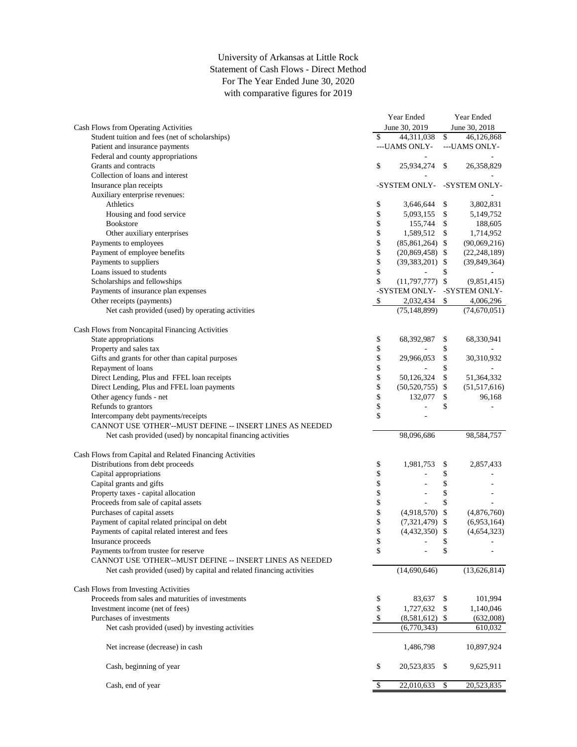## University of Arkansas at Little Rock Statement of Cash Flows - Direct Method For The Year Ended June 30, 2020 with comparative figures for 2019

| June 30, 2019<br>June 30, 2018<br>Cash Flows from Operating Activities<br>$\mathbb{S}$<br>Student tuition and fees (net of scholarships)<br>\$<br>44,311,038<br>46,126,868<br>Patient and insurance payments<br>---UAMS ONLY-<br>---UAMS ONLY-<br>Federal and county appropriations<br>Grants and contracts<br>\$<br>25,934,274<br>\$<br>26,358,829<br>Collection of loans and interest<br>-SYSTEM ONLY- -SYSTEM ONLY-<br>Insurance plan receipts<br>Auxiliary enterprise revenues:<br>Athletics<br>\$<br>3,646,644 \$<br>3,802,831<br>\$<br>Housing and food service<br>5,093,155 \$<br>5,149,752<br>\$<br><b>Bookstore</b><br>$\mathcal{S}$<br>155,744<br>188,605<br>\$<br>Other auxiliary enterprises<br>1,589,512<br>\$<br>1,714,952<br>\$<br>Payments to employees<br>$(85,861,264)$ \$<br>(90,069,216)<br>\$<br>Payment of employee benefits<br>$(20,869,458)$ \$<br>(22, 248, 189)<br>\$<br>Payments to suppliers<br>(39, 849, 364)<br>$(39,383,201)$ \$<br>\$<br>Loans issued to students<br>\$<br>$\overline{\phantom{a}}$<br>\$<br>$(11,797,777)$ \$<br>Scholarships and fellowships<br>(9,851,415)<br>Payments of insurance plan expenses<br>-SYSTEM ONLY-<br>-SYSTEM ONLY-<br>Other receipts (payments)<br>2,032,434<br>\$<br>4,006,296<br>\$<br>Net cash provided (used) by operating activities<br>(75, 148, 899)<br>(74,670,051)<br>Cash Flows from Noncapital Financing Activities<br>State appropriations<br>\$<br>68,392,987<br>\$<br>68,330,941<br>\$<br>Property and sales tax<br>\$<br>\$<br>Gifts and grants for other than capital purposes<br>\$<br>29,966,053<br>30,310,932<br>\$<br>\$<br>Repayment of loans<br>\$<br>\$<br>Direct Lending, Plus and FFEL loan receipts<br>50,126,324<br>51,364,332<br>\$<br>Direct Lending, Plus and FFEL loan payments<br>$(50,520,755)$ \$<br>(51,517,616)<br>\$<br>Other agency funds - net<br>132,077<br>96,168<br>\$<br>\$<br>\$<br>Refunds to grantors<br>\$<br>Intercompany debt payments/receipts<br>÷.<br>CANNOT USE 'OTHER'--MUST DEFINE -- INSERT LINES AS NEEDED<br>Net cash provided (used) by noncapital financing activities<br>98,096,686<br>98,584,757<br>Cash Flows from Capital and Related Financing Activities<br>Distributions from debt proceeds<br>\$<br>1,981,753<br>2,857,433<br>\$<br>\$<br>\$<br>Capital appropriations<br>\$<br>\$<br>Capital grants and gifts<br>\$<br>\$<br>Property taxes - capital allocation<br>\$<br>\$<br>Proceeds from sale of capital assets<br>\$<br>Purchases of capital assets<br>$(4,918,570)$ \$<br>(4,876,760)<br>\$<br>Payment of capital related principal on debt<br>$(7,321,479)$ \$<br>(6,953,164)<br>\$<br>Payments of capital related interest and fees<br>(4, 654, 323)<br>$(4,432,350)$ \$<br>Insurance proceeds<br>\$<br>\$<br>\$<br>\$<br>Payments to/from trustee for reserve<br>CANNOT USE 'OTHER'--MUST DEFINE -- INSERT LINES AS NEEDED<br>(14,690,646)<br>(13, 626, 814)<br>Net cash provided (used) by capital and related financing activities<br>Cash Flows from Investing Activities<br>Proceeds from sales and maturities of investments<br>\$<br>101,994<br>83,637<br>\$<br>Investment income (net of fees)<br>\$<br>1,727,632<br>1,140,046<br>\$<br>Purchases of investments<br>\$<br>$(8,581,612)$ \$<br>(632,008)<br>Net cash provided (used) by investing activities<br>(6,770,343)<br>610,032<br>Net increase (decrease) in cash<br>1,486,798<br>10,897,924<br>\$<br>Cash, beginning of year<br>20,523,835 \$<br>9,625,911<br>22,010,633<br>Cash, end of year<br>\$<br>\$<br>20,523,835 | Year Ended |  |  | Year Ended |  |  |
|-------------------------------------------------------------------------------------------------------------------------------------------------------------------------------------------------------------------------------------------------------------------------------------------------------------------------------------------------------------------------------------------------------------------------------------------------------------------------------------------------------------------------------------------------------------------------------------------------------------------------------------------------------------------------------------------------------------------------------------------------------------------------------------------------------------------------------------------------------------------------------------------------------------------------------------------------------------------------------------------------------------------------------------------------------------------------------------------------------------------------------------------------------------------------------------------------------------------------------------------------------------------------------------------------------------------------------------------------------------------------------------------------------------------------------------------------------------------------------------------------------------------------------------------------------------------------------------------------------------------------------------------------------------------------------------------------------------------------------------------------------------------------------------------------------------------------------------------------------------------------------------------------------------------------------------------------------------------------------------------------------------------------------------------------------------------------------------------------------------------------------------------------------------------------------------------------------------------------------------------------------------------------------------------------------------------------------------------------------------------------------------------------------------------------------------------------------------------------------------------------------------------------------------------------------------------------------------------------------------------------------------------------------------------------------------------------------------------------------------------------------------------------------------------------------------------------------------------------------------------------------------------------------------------------------------------------------------------------------------------------------------------------------------------------------------------------------------------------------------------------------------------------------------------------------------------------------------------------------------------------------------------------------------------------------------------------------------------------------------------------------------------------------------------------------------------------------------------------------------------------------------------------------------------|------------|--|--|------------|--|--|
|                                                                                                                                                                                                                                                                                                                                                                                                                                                                                                                                                                                                                                                                                                                                                                                                                                                                                                                                                                                                                                                                                                                                                                                                                                                                                                                                                                                                                                                                                                                                                                                                                                                                                                                                                                                                                                                                                                                                                                                                                                                                                                                                                                                                                                                                                                                                                                                                                                                                                                                                                                                                                                                                                                                                                                                                                                                                                                                                                                                                                                                                                                                                                                                                                                                                                                                                                                                                                                                                                                                                           |            |  |  |            |  |  |
|                                                                                                                                                                                                                                                                                                                                                                                                                                                                                                                                                                                                                                                                                                                                                                                                                                                                                                                                                                                                                                                                                                                                                                                                                                                                                                                                                                                                                                                                                                                                                                                                                                                                                                                                                                                                                                                                                                                                                                                                                                                                                                                                                                                                                                                                                                                                                                                                                                                                                                                                                                                                                                                                                                                                                                                                                                                                                                                                                                                                                                                                                                                                                                                                                                                                                                                                                                                                                                                                                                                                           |            |  |  |            |  |  |
|                                                                                                                                                                                                                                                                                                                                                                                                                                                                                                                                                                                                                                                                                                                                                                                                                                                                                                                                                                                                                                                                                                                                                                                                                                                                                                                                                                                                                                                                                                                                                                                                                                                                                                                                                                                                                                                                                                                                                                                                                                                                                                                                                                                                                                                                                                                                                                                                                                                                                                                                                                                                                                                                                                                                                                                                                                                                                                                                                                                                                                                                                                                                                                                                                                                                                                                                                                                                                                                                                                                                           |            |  |  |            |  |  |
|                                                                                                                                                                                                                                                                                                                                                                                                                                                                                                                                                                                                                                                                                                                                                                                                                                                                                                                                                                                                                                                                                                                                                                                                                                                                                                                                                                                                                                                                                                                                                                                                                                                                                                                                                                                                                                                                                                                                                                                                                                                                                                                                                                                                                                                                                                                                                                                                                                                                                                                                                                                                                                                                                                                                                                                                                                                                                                                                                                                                                                                                                                                                                                                                                                                                                                                                                                                                                                                                                                                                           |            |  |  |            |  |  |
|                                                                                                                                                                                                                                                                                                                                                                                                                                                                                                                                                                                                                                                                                                                                                                                                                                                                                                                                                                                                                                                                                                                                                                                                                                                                                                                                                                                                                                                                                                                                                                                                                                                                                                                                                                                                                                                                                                                                                                                                                                                                                                                                                                                                                                                                                                                                                                                                                                                                                                                                                                                                                                                                                                                                                                                                                                                                                                                                                                                                                                                                                                                                                                                                                                                                                                                                                                                                                                                                                                                                           |            |  |  |            |  |  |
|                                                                                                                                                                                                                                                                                                                                                                                                                                                                                                                                                                                                                                                                                                                                                                                                                                                                                                                                                                                                                                                                                                                                                                                                                                                                                                                                                                                                                                                                                                                                                                                                                                                                                                                                                                                                                                                                                                                                                                                                                                                                                                                                                                                                                                                                                                                                                                                                                                                                                                                                                                                                                                                                                                                                                                                                                                                                                                                                                                                                                                                                                                                                                                                                                                                                                                                                                                                                                                                                                                                                           |            |  |  |            |  |  |
|                                                                                                                                                                                                                                                                                                                                                                                                                                                                                                                                                                                                                                                                                                                                                                                                                                                                                                                                                                                                                                                                                                                                                                                                                                                                                                                                                                                                                                                                                                                                                                                                                                                                                                                                                                                                                                                                                                                                                                                                                                                                                                                                                                                                                                                                                                                                                                                                                                                                                                                                                                                                                                                                                                                                                                                                                                                                                                                                                                                                                                                                                                                                                                                                                                                                                                                                                                                                                                                                                                                                           |            |  |  |            |  |  |
|                                                                                                                                                                                                                                                                                                                                                                                                                                                                                                                                                                                                                                                                                                                                                                                                                                                                                                                                                                                                                                                                                                                                                                                                                                                                                                                                                                                                                                                                                                                                                                                                                                                                                                                                                                                                                                                                                                                                                                                                                                                                                                                                                                                                                                                                                                                                                                                                                                                                                                                                                                                                                                                                                                                                                                                                                                                                                                                                                                                                                                                                                                                                                                                                                                                                                                                                                                                                                                                                                                                                           |            |  |  |            |  |  |
|                                                                                                                                                                                                                                                                                                                                                                                                                                                                                                                                                                                                                                                                                                                                                                                                                                                                                                                                                                                                                                                                                                                                                                                                                                                                                                                                                                                                                                                                                                                                                                                                                                                                                                                                                                                                                                                                                                                                                                                                                                                                                                                                                                                                                                                                                                                                                                                                                                                                                                                                                                                                                                                                                                                                                                                                                                                                                                                                                                                                                                                                                                                                                                                                                                                                                                                                                                                                                                                                                                                                           |            |  |  |            |  |  |
|                                                                                                                                                                                                                                                                                                                                                                                                                                                                                                                                                                                                                                                                                                                                                                                                                                                                                                                                                                                                                                                                                                                                                                                                                                                                                                                                                                                                                                                                                                                                                                                                                                                                                                                                                                                                                                                                                                                                                                                                                                                                                                                                                                                                                                                                                                                                                                                                                                                                                                                                                                                                                                                                                                                                                                                                                                                                                                                                                                                                                                                                                                                                                                                                                                                                                                                                                                                                                                                                                                                                           |            |  |  |            |  |  |
|                                                                                                                                                                                                                                                                                                                                                                                                                                                                                                                                                                                                                                                                                                                                                                                                                                                                                                                                                                                                                                                                                                                                                                                                                                                                                                                                                                                                                                                                                                                                                                                                                                                                                                                                                                                                                                                                                                                                                                                                                                                                                                                                                                                                                                                                                                                                                                                                                                                                                                                                                                                                                                                                                                                                                                                                                                                                                                                                                                                                                                                                                                                                                                                                                                                                                                                                                                                                                                                                                                                                           |            |  |  |            |  |  |
|                                                                                                                                                                                                                                                                                                                                                                                                                                                                                                                                                                                                                                                                                                                                                                                                                                                                                                                                                                                                                                                                                                                                                                                                                                                                                                                                                                                                                                                                                                                                                                                                                                                                                                                                                                                                                                                                                                                                                                                                                                                                                                                                                                                                                                                                                                                                                                                                                                                                                                                                                                                                                                                                                                                                                                                                                                                                                                                                                                                                                                                                                                                                                                                                                                                                                                                                                                                                                                                                                                                                           |            |  |  |            |  |  |
|                                                                                                                                                                                                                                                                                                                                                                                                                                                                                                                                                                                                                                                                                                                                                                                                                                                                                                                                                                                                                                                                                                                                                                                                                                                                                                                                                                                                                                                                                                                                                                                                                                                                                                                                                                                                                                                                                                                                                                                                                                                                                                                                                                                                                                                                                                                                                                                                                                                                                                                                                                                                                                                                                                                                                                                                                                                                                                                                                                                                                                                                                                                                                                                                                                                                                                                                                                                                                                                                                                                                           |            |  |  |            |  |  |
|                                                                                                                                                                                                                                                                                                                                                                                                                                                                                                                                                                                                                                                                                                                                                                                                                                                                                                                                                                                                                                                                                                                                                                                                                                                                                                                                                                                                                                                                                                                                                                                                                                                                                                                                                                                                                                                                                                                                                                                                                                                                                                                                                                                                                                                                                                                                                                                                                                                                                                                                                                                                                                                                                                                                                                                                                                                                                                                                                                                                                                                                                                                                                                                                                                                                                                                                                                                                                                                                                                                                           |            |  |  |            |  |  |
|                                                                                                                                                                                                                                                                                                                                                                                                                                                                                                                                                                                                                                                                                                                                                                                                                                                                                                                                                                                                                                                                                                                                                                                                                                                                                                                                                                                                                                                                                                                                                                                                                                                                                                                                                                                                                                                                                                                                                                                                                                                                                                                                                                                                                                                                                                                                                                                                                                                                                                                                                                                                                                                                                                                                                                                                                                                                                                                                                                                                                                                                                                                                                                                                                                                                                                                                                                                                                                                                                                                                           |            |  |  |            |  |  |
|                                                                                                                                                                                                                                                                                                                                                                                                                                                                                                                                                                                                                                                                                                                                                                                                                                                                                                                                                                                                                                                                                                                                                                                                                                                                                                                                                                                                                                                                                                                                                                                                                                                                                                                                                                                                                                                                                                                                                                                                                                                                                                                                                                                                                                                                                                                                                                                                                                                                                                                                                                                                                                                                                                                                                                                                                                                                                                                                                                                                                                                                                                                                                                                                                                                                                                                                                                                                                                                                                                                                           |            |  |  |            |  |  |
|                                                                                                                                                                                                                                                                                                                                                                                                                                                                                                                                                                                                                                                                                                                                                                                                                                                                                                                                                                                                                                                                                                                                                                                                                                                                                                                                                                                                                                                                                                                                                                                                                                                                                                                                                                                                                                                                                                                                                                                                                                                                                                                                                                                                                                                                                                                                                                                                                                                                                                                                                                                                                                                                                                                                                                                                                                                                                                                                                                                                                                                                                                                                                                                                                                                                                                                                                                                                                                                                                                                                           |            |  |  |            |  |  |
|                                                                                                                                                                                                                                                                                                                                                                                                                                                                                                                                                                                                                                                                                                                                                                                                                                                                                                                                                                                                                                                                                                                                                                                                                                                                                                                                                                                                                                                                                                                                                                                                                                                                                                                                                                                                                                                                                                                                                                                                                                                                                                                                                                                                                                                                                                                                                                                                                                                                                                                                                                                                                                                                                                                                                                                                                                                                                                                                                                                                                                                                                                                                                                                                                                                                                                                                                                                                                                                                                                                                           |            |  |  |            |  |  |
|                                                                                                                                                                                                                                                                                                                                                                                                                                                                                                                                                                                                                                                                                                                                                                                                                                                                                                                                                                                                                                                                                                                                                                                                                                                                                                                                                                                                                                                                                                                                                                                                                                                                                                                                                                                                                                                                                                                                                                                                                                                                                                                                                                                                                                                                                                                                                                                                                                                                                                                                                                                                                                                                                                                                                                                                                                                                                                                                                                                                                                                                                                                                                                                                                                                                                                                                                                                                                                                                                                                                           |            |  |  |            |  |  |
|                                                                                                                                                                                                                                                                                                                                                                                                                                                                                                                                                                                                                                                                                                                                                                                                                                                                                                                                                                                                                                                                                                                                                                                                                                                                                                                                                                                                                                                                                                                                                                                                                                                                                                                                                                                                                                                                                                                                                                                                                                                                                                                                                                                                                                                                                                                                                                                                                                                                                                                                                                                                                                                                                                                                                                                                                                                                                                                                                                                                                                                                                                                                                                                                                                                                                                                                                                                                                                                                                                                                           |            |  |  |            |  |  |
|                                                                                                                                                                                                                                                                                                                                                                                                                                                                                                                                                                                                                                                                                                                                                                                                                                                                                                                                                                                                                                                                                                                                                                                                                                                                                                                                                                                                                                                                                                                                                                                                                                                                                                                                                                                                                                                                                                                                                                                                                                                                                                                                                                                                                                                                                                                                                                                                                                                                                                                                                                                                                                                                                                                                                                                                                                                                                                                                                                                                                                                                                                                                                                                                                                                                                                                                                                                                                                                                                                                                           |            |  |  |            |  |  |
|                                                                                                                                                                                                                                                                                                                                                                                                                                                                                                                                                                                                                                                                                                                                                                                                                                                                                                                                                                                                                                                                                                                                                                                                                                                                                                                                                                                                                                                                                                                                                                                                                                                                                                                                                                                                                                                                                                                                                                                                                                                                                                                                                                                                                                                                                                                                                                                                                                                                                                                                                                                                                                                                                                                                                                                                                                                                                                                                                                                                                                                                                                                                                                                                                                                                                                                                                                                                                                                                                                                                           |            |  |  |            |  |  |
|                                                                                                                                                                                                                                                                                                                                                                                                                                                                                                                                                                                                                                                                                                                                                                                                                                                                                                                                                                                                                                                                                                                                                                                                                                                                                                                                                                                                                                                                                                                                                                                                                                                                                                                                                                                                                                                                                                                                                                                                                                                                                                                                                                                                                                                                                                                                                                                                                                                                                                                                                                                                                                                                                                                                                                                                                                                                                                                                                                                                                                                                                                                                                                                                                                                                                                                                                                                                                                                                                                                                           |            |  |  |            |  |  |
|                                                                                                                                                                                                                                                                                                                                                                                                                                                                                                                                                                                                                                                                                                                                                                                                                                                                                                                                                                                                                                                                                                                                                                                                                                                                                                                                                                                                                                                                                                                                                                                                                                                                                                                                                                                                                                                                                                                                                                                                                                                                                                                                                                                                                                                                                                                                                                                                                                                                                                                                                                                                                                                                                                                                                                                                                                                                                                                                                                                                                                                                                                                                                                                                                                                                                                                                                                                                                                                                                                                                           |            |  |  |            |  |  |
|                                                                                                                                                                                                                                                                                                                                                                                                                                                                                                                                                                                                                                                                                                                                                                                                                                                                                                                                                                                                                                                                                                                                                                                                                                                                                                                                                                                                                                                                                                                                                                                                                                                                                                                                                                                                                                                                                                                                                                                                                                                                                                                                                                                                                                                                                                                                                                                                                                                                                                                                                                                                                                                                                                                                                                                                                                                                                                                                                                                                                                                                                                                                                                                                                                                                                                                                                                                                                                                                                                                                           |            |  |  |            |  |  |
|                                                                                                                                                                                                                                                                                                                                                                                                                                                                                                                                                                                                                                                                                                                                                                                                                                                                                                                                                                                                                                                                                                                                                                                                                                                                                                                                                                                                                                                                                                                                                                                                                                                                                                                                                                                                                                                                                                                                                                                                                                                                                                                                                                                                                                                                                                                                                                                                                                                                                                                                                                                                                                                                                                                                                                                                                                                                                                                                                                                                                                                                                                                                                                                                                                                                                                                                                                                                                                                                                                                                           |            |  |  |            |  |  |
|                                                                                                                                                                                                                                                                                                                                                                                                                                                                                                                                                                                                                                                                                                                                                                                                                                                                                                                                                                                                                                                                                                                                                                                                                                                                                                                                                                                                                                                                                                                                                                                                                                                                                                                                                                                                                                                                                                                                                                                                                                                                                                                                                                                                                                                                                                                                                                                                                                                                                                                                                                                                                                                                                                                                                                                                                                                                                                                                                                                                                                                                                                                                                                                                                                                                                                                                                                                                                                                                                                                                           |            |  |  |            |  |  |
|                                                                                                                                                                                                                                                                                                                                                                                                                                                                                                                                                                                                                                                                                                                                                                                                                                                                                                                                                                                                                                                                                                                                                                                                                                                                                                                                                                                                                                                                                                                                                                                                                                                                                                                                                                                                                                                                                                                                                                                                                                                                                                                                                                                                                                                                                                                                                                                                                                                                                                                                                                                                                                                                                                                                                                                                                                                                                                                                                                                                                                                                                                                                                                                                                                                                                                                                                                                                                                                                                                                                           |            |  |  |            |  |  |
|                                                                                                                                                                                                                                                                                                                                                                                                                                                                                                                                                                                                                                                                                                                                                                                                                                                                                                                                                                                                                                                                                                                                                                                                                                                                                                                                                                                                                                                                                                                                                                                                                                                                                                                                                                                                                                                                                                                                                                                                                                                                                                                                                                                                                                                                                                                                                                                                                                                                                                                                                                                                                                                                                                                                                                                                                                                                                                                                                                                                                                                                                                                                                                                                                                                                                                                                                                                                                                                                                                                                           |            |  |  |            |  |  |
|                                                                                                                                                                                                                                                                                                                                                                                                                                                                                                                                                                                                                                                                                                                                                                                                                                                                                                                                                                                                                                                                                                                                                                                                                                                                                                                                                                                                                                                                                                                                                                                                                                                                                                                                                                                                                                                                                                                                                                                                                                                                                                                                                                                                                                                                                                                                                                                                                                                                                                                                                                                                                                                                                                                                                                                                                                                                                                                                                                                                                                                                                                                                                                                                                                                                                                                                                                                                                                                                                                                                           |            |  |  |            |  |  |
|                                                                                                                                                                                                                                                                                                                                                                                                                                                                                                                                                                                                                                                                                                                                                                                                                                                                                                                                                                                                                                                                                                                                                                                                                                                                                                                                                                                                                                                                                                                                                                                                                                                                                                                                                                                                                                                                                                                                                                                                                                                                                                                                                                                                                                                                                                                                                                                                                                                                                                                                                                                                                                                                                                                                                                                                                                                                                                                                                                                                                                                                                                                                                                                                                                                                                                                                                                                                                                                                                                                                           |            |  |  |            |  |  |
|                                                                                                                                                                                                                                                                                                                                                                                                                                                                                                                                                                                                                                                                                                                                                                                                                                                                                                                                                                                                                                                                                                                                                                                                                                                                                                                                                                                                                                                                                                                                                                                                                                                                                                                                                                                                                                                                                                                                                                                                                                                                                                                                                                                                                                                                                                                                                                                                                                                                                                                                                                                                                                                                                                                                                                                                                                                                                                                                                                                                                                                                                                                                                                                                                                                                                                                                                                                                                                                                                                                                           |            |  |  |            |  |  |
|                                                                                                                                                                                                                                                                                                                                                                                                                                                                                                                                                                                                                                                                                                                                                                                                                                                                                                                                                                                                                                                                                                                                                                                                                                                                                                                                                                                                                                                                                                                                                                                                                                                                                                                                                                                                                                                                                                                                                                                                                                                                                                                                                                                                                                                                                                                                                                                                                                                                                                                                                                                                                                                                                                                                                                                                                                                                                                                                                                                                                                                                                                                                                                                                                                                                                                                                                                                                                                                                                                                                           |            |  |  |            |  |  |
|                                                                                                                                                                                                                                                                                                                                                                                                                                                                                                                                                                                                                                                                                                                                                                                                                                                                                                                                                                                                                                                                                                                                                                                                                                                                                                                                                                                                                                                                                                                                                                                                                                                                                                                                                                                                                                                                                                                                                                                                                                                                                                                                                                                                                                                                                                                                                                                                                                                                                                                                                                                                                                                                                                                                                                                                                                                                                                                                                                                                                                                                                                                                                                                                                                                                                                                                                                                                                                                                                                                                           |            |  |  |            |  |  |
|                                                                                                                                                                                                                                                                                                                                                                                                                                                                                                                                                                                                                                                                                                                                                                                                                                                                                                                                                                                                                                                                                                                                                                                                                                                                                                                                                                                                                                                                                                                                                                                                                                                                                                                                                                                                                                                                                                                                                                                                                                                                                                                                                                                                                                                                                                                                                                                                                                                                                                                                                                                                                                                                                                                                                                                                                                                                                                                                                                                                                                                                                                                                                                                                                                                                                                                                                                                                                                                                                                                                           |            |  |  |            |  |  |
|                                                                                                                                                                                                                                                                                                                                                                                                                                                                                                                                                                                                                                                                                                                                                                                                                                                                                                                                                                                                                                                                                                                                                                                                                                                                                                                                                                                                                                                                                                                                                                                                                                                                                                                                                                                                                                                                                                                                                                                                                                                                                                                                                                                                                                                                                                                                                                                                                                                                                                                                                                                                                                                                                                                                                                                                                                                                                                                                                                                                                                                                                                                                                                                                                                                                                                                                                                                                                                                                                                                                           |            |  |  |            |  |  |
|                                                                                                                                                                                                                                                                                                                                                                                                                                                                                                                                                                                                                                                                                                                                                                                                                                                                                                                                                                                                                                                                                                                                                                                                                                                                                                                                                                                                                                                                                                                                                                                                                                                                                                                                                                                                                                                                                                                                                                                                                                                                                                                                                                                                                                                                                                                                                                                                                                                                                                                                                                                                                                                                                                                                                                                                                                                                                                                                                                                                                                                                                                                                                                                                                                                                                                                                                                                                                                                                                                                                           |            |  |  |            |  |  |
|                                                                                                                                                                                                                                                                                                                                                                                                                                                                                                                                                                                                                                                                                                                                                                                                                                                                                                                                                                                                                                                                                                                                                                                                                                                                                                                                                                                                                                                                                                                                                                                                                                                                                                                                                                                                                                                                                                                                                                                                                                                                                                                                                                                                                                                                                                                                                                                                                                                                                                                                                                                                                                                                                                                                                                                                                                                                                                                                                                                                                                                                                                                                                                                                                                                                                                                                                                                                                                                                                                                                           |            |  |  |            |  |  |
|                                                                                                                                                                                                                                                                                                                                                                                                                                                                                                                                                                                                                                                                                                                                                                                                                                                                                                                                                                                                                                                                                                                                                                                                                                                                                                                                                                                                                                                                                                                                                                                                                                                                                                                                                                                                                                                                                                                                                                                                                                                                                                                                                                                                                                                                                                                                                                                                                                                                                                                                                                                                                                                                                                                                                                                                                                                                                                                                                                                                                                                                                                                                                                                                                                                                                                                                                                                                                                                                                                                                           |            |  |  |            |  |  |
|                                                                                                                                                                                                                                                                                                                                                                                                                                                                                                                                                                                                                                                                                                                                                                                                                                                                                                                                                                                                                                                                                                                                                                                                                                                                                                                                                                                                                                                                                                                                                                                                                                                                                                                                                                                                                                                                                                                                                                                                                                                                                                                                                                                                                                                                                                                                                                                                                                                                                                                                                                                                                                                                                                                                                                                                                                                                                                                                                                                                                                                                                                                                                                                                                                                                                                                                                                                                                                                                                                                                           |            |  |  |            |  |  |
|                                                                                                                                                                                                                                                                                                                                                                                                                                                                                                                                                                                                                                                                                                                                                                                                                                                                                                                                                                                                                                                                                                                                                                                                                                                                                                                                                                                                                                                                                                                                                                                                                                                                                                                                                                                                                                                                                                                                                                                                                                                                                                                                                                                                                                                                                                                                                                                                                                                                                                                                                                                                                                                                                                                                                                                                                                                                                                                                                                                                                                                                                                                                                                                                                                                                                                                                                                                                                                                                                                                                           |            |  |  |            |  |  |
|                                                                                                                                                                                                                                                                                                                                                                                                                                                                                                                                                                                                                                                                                                                                                                                                                                                                                                                                                                                                                                                                                                                                                                                                                                                                                                                                                                                                                                                                                                                                                                                                                                                                                                                                                                                                                                                                                                                                                                                                                                                                                                                                                                                                                                                                                                                                                                                                                                                                                                                                                                                                                                                                                                                                                                                                                                                                                                                                                                                                                                                                                                                                                                                                                                                                                                                                                                                                                                                                                                                                           |            |  |  |            |  |  |
|                                                                                                                                                                                                                                                                                                                                                                                                                                                                                                                                                                                                                                                                                                                                                                                                                                                                                                                                                                                                                                                                                                                                                                                                                                                                                                                                                                                                                                                                                                                                                                                                                                                                                                                                                                                                                                                                                                                                                                                                                                                                                                                                                                                                                                                                                                                                                                                                                                                                                                                                                                                                                                                                                                                                                                                                                                                                                                                                                                                                                                                                                                                                                                                                                                                                                                                                                                                                                                                                                                                                           |            |  |  |            |  |  |
|                                                                                                                                                                                                                                                                                                                                                                                                                                                                                                                                                                                                                                                                                                                                                                                                                                                                                                                                                                                                                                                                                                                                                                                                                                                                                                                                                                                                                                                                                                                                                                                                                                                                                                                                                                                                                                                                                                                                                                                                                                                                                                                                                                                                                                                                                                                                                                                                                                                                                                                                                                                                                                                                                                                                                                                                                                                                                                                                                                                                                                                                                                                                                                                                                                                                                                                                                                                                                                                                                                                                           |            |  |  |            |  |  |
|                                                                                                                                                                                                                                                                                                                                                                                                                                                                                                                                                                                                                                                                                                                                                                                                                                                                                                                                                                                                                                                                                                                                                                                                                                                                                                                                                                                                                                                                                                                                                                                                                                                                                                                                                                                                                                                                                                                                                                                                                                                                                                                                                                                                                                                                                                                                                                                                                                                                                                                                                                                                                                                                                                                                                                                                                                                                                                                                                                                                                                                                                                                                                                                                                                                                                                                                                                                                                                                                                                                                           |            |  |  |            |  |  |
|                                                                                                                                                                                                                                                                                                                                                                                                                                                                                                                                                                                                                                                                                                                                                                                                                                                                                                                                                                                                                                                                                                                                                                                                                                                                                                                                                                                                                                                                                                                                                                                                                                                                                                                                                                                                                                                                                                                                                                                                                                                                                                                                                                                                                                                                                                                                                                                                                                                                                                                                                                                                                                                                                                                                                                                                                                                                                                                                                                                                                                                                                                                                                                                                                                                                                                                                                                                                                                                                                                                                           |            |  |  |            |  |  |
|                                                                                                                                                                                                                                                                                                                                                                                                                                                                                                                                                                                                                                                                                                                                                                                                                                                                                                                                                                                                                                                                                                                                                                                                                                                                                                                                                                                                                                                                                                                                                                                                                                                                                                                                                                                                                                                                                                                                                                                                                                                                                                                                                                                                                                                                                                                                                                                                                                                                                                                                                                                                                                                                                                                                                                                                                                                                                                                                                                                                                                                                                                                                                                                                                                                                                                                                                                                                                                                                                                                                           |            |  |  |            |  |  |
|                                                                                                                                                                                                                                                                                                                                                                                                                                                                                                                                                                                                                                                                                                                                                                                                                                                                                                                                                                                                                                                                                                                                                                                                                                                                                                                                                                                                                                                                                                                                                                                                                                                                                                                                                                                                                                                                                                                                                                                                                                                                                                                                                                                                                                                                                                                                                                                                                                                                                                                                                                                                                                                                                                                                                                                                                                                                                                                                                                                                                                                                                                                                                                                                                                                                                                                                                                                                                                                                                                                                           |            |  |  |            |  |  |
|                                                                                                                                                                                                                                                                                                                                                                                                                                                                                                                                                                                                                                                                                                                                                                                                                                                                                                                                                                                                                                                                                                                                                                                                                                                                                                                                                                                                                                                                                                                                                                                                                                                                                                                                                                                                                                                                                                                                                                                                                                                                                                                                                                                                                                                                                                                                                                                                                                                                                                                                                                                                                                                                                                                                                                                                                                                                                                                                                                                                                                                                                                                                                                                                                                                                                                                                                                                                                                                                                                                                           |            |  |  |            |  |  |
|                                                                                                                                                                                                                                                                                                                                                                                                                                                                                                                                                                                                                                                                                                                                                                                                                                                                                                                                                                                                                                                                                                                                                                                                                                                                                                                                                                                                                                                                                                                                                                                                                                                                                                                                                                                                                                                                                                                                                                                                                                                                                                                                                                                                                                                                                                                                                                                                                                                                                                                                                                                                                                                                                                                                                                                                                                                                                                                                                                                                                                                                                                                                                                                                                                                                                                                                                                                                                                                                                                                                           |            |  |  |            |  |  |
|                                                                                                                                                                                                                                                                                                                                                                                                                                                                                                                                                                                                                                                                                                                                                                                                                                                                                                                                                                                                                                                                                                                                                                                                                                                                                                                                                                                                                                                                                                                                                                                                                                                                                                                                                                                                                                                                                                                                                                                                                                                                                                                                                                                                                                                                                                                                                                                                                                                                                                                                                                                                                                                                                                                                                                                                                                                                                                                                                                                                                                                                                                                                                                                                                                                                                                                                                                                                                                                                                                                                           |            |  |  |            |  |  |
|                                                                                                                                                                                                                                                                                                                                                                                                                                                                                                                                                                                                                                                                                                                                                                                                                                                                                                                                                                                                                                                                                                                                                                                                                                                                                                                                                                                                                                                                                                                                                                                                                                                                                                                                                                                                                                                                                                                                                                                                                                                                                                                                                                                                                                                                                                                                                                                                                                                                                                                                                                                                                                                                                                                                                                                                                                                                                                                                                                                                                                                                                                                                                                                                                                                                                                                                                                                                                                                                                                                                           |            |  |  |            |  |  |
|                                                                                                                                                                                                                                                                                                                                                                                                                                                                                                                                                                                                                                                                                                                                                                                                                                                                                                                                                                                                                                                                                                                                                                                                                                                                                                                                                                                                                                                                                                                                                                                                                                                                                                                                                                                                                                                                                                                                                                                                                                                                                                                                                                                                                                                                                                                                                                                                                                                                                                                                                                                                                                                                                                                                                                                                                                                                                                                                                                                                                                                                                                                                                                                                                                                                                                                                                                                                                                                                                                                                           |            |  |  |            |  |  |
|                                                                                                                                                                                                                                                                                                                                                                                                                                                                                                                                                                                                                                                                                                                                                                                                                                                                                                                                                                                                                                                                                                                                                                                                                                                                                                                                                                                                                                                                                                                                                                                                                                                                                                                                                                                                                                                                                                                                                                                                                                                                                                                                                                                                                                                                                                                                                                                                                                                                                                                                                                                                                                                                                                                                                                                                                                                                                                                                                                                                                                                                                                                                                                                                                                                                                                                                                                                                                                                                                                                                           |            |  |  |            |  |  |
|                                                                                                                                                                                                                                                                                                                                                                                                                                                                                                                                                                                                                                                                                                                                                                                                                                                                                                                                                                                                                                                                                                                                                                                                                                                                                                                                                                                                                                                                                                                                                                                                                                                                                                                                                                                                                                                                                                                                                                                                                                                                                                                                                                                                                                                                                                                                                                                                                                                                                                                                                                                                                                                                                                                                                                                                                                                                                                                                                                                                                                                                                                                                                                                                                                                                                                                                                                                                                                                                                                                                           |            |  |  |            |  |  |
|                                                                                                                                                                                                                                                                                                                                                                                                                                                                                                                                                                                                                                                                                                                                                                                                                                                                                                                                                                                                                                                                                                                                                                                                                                                                                                                                                                                                                                                                                                                                                                                                                                                                                                                                                                                                                                                                                                                                                                                                                                                                                                                                                                                                                                                                                                                                                                                                                                                                                                                                                                                                                                                                                                                                                                                                                                                                                                                                                                                                                                                                                                                                                                                                                                                                                                                                                                                                                                                                                                                                           |            |  |  |            |  |  |
|                                                                                                                                                                                                                                                                                                                                                                                                                                                                                                                                                                                                                                                                                                                                                                                                                                                                                                                                                                                                                                                                                                                                                                                                                                                                                                                                                                                                                                                                                                                                                                                                                                                                                                                                                                                                                                                                                                                                                                                                                                                                                                                                                                                                                                                                                                                                                                                                                                                                                                                                                                                                                                                                                                                                                                                                                                                                                                                                                                                                                                                                                                                                                                                                                                                                                                                                                                                                                                                                                                                                           |            |  |  |            |  |  |
|                                                                                                                                                                                                                                                                                                                                                                                                                                                                                                                                                                                                                                                                                                                                                                                                                                                                                                                                                                                                                                                                                                                                                                                                                                                                                                                                                                                                                                                                                                                                                                                                                                                                                                                                                                                                                                                                                                                                                                                                                                                                                                                                                                                                                                                                                                                                                                                                                                                                                                                                                                                                                                                                                                                                                                                                                                                                                                                                                                                                                                                                                                                                                                                                                                                                                                                                                                                                                                                                                                                                           |            |  |  |            |  |  |
|                                                                                                                                                                                                                                                                                                                                                                                                                                                                                                                                                                                                                                                                                                                                                                                                                                                                                                                                                                                                                                                                                                                                                                                                                                                                                                                                                                                                                                                                                                                                                                                                                                                                                                                                                                                                                                                                                                                                                                                                                                                                                                                                                                                                                                                                                                                                                                                                                                                                                                                                                                                                                                                                                                                                                                                                                                                                                                                                                                                                                                                                                                                                                                                                                                                                                                                                                                                                                                                                                                                                           |            |  |  |            |  |  |
|                                                                                                                                                                                                                                                                                                                                                                                                                                                                                                                                                                                                                                                                                                                                                                                                                                                                                                                                                                                                                                                                                                                                                                                                                                                                                                                                                                                                                                                                                                                                                                                                                                                                                                                                                                                                                                                                                                                                                                                                                                                                                                                                                                                                                                                                                                                                                                                                                                                                                                                                                                                                                                                                                                                                                                                                                                                                                                                                                                                                                                                                                                                                                                                                                                                                                                                                                                                                                                                                                                                                           |            |  |  |            |  |  |